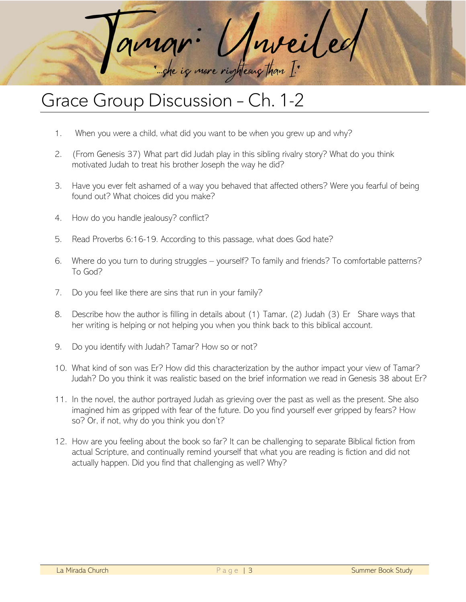

## Grace Group Discussion – Ch. 1-2

- 1. When you were a child, what did you want to be when you grew up and why?
- 2. (From Genesis 37) What part did Judah play in this sibling rivalry story? What do you think motivated Judah to treat his brother Joseph the way he did?
- 3. Have you ever felt ashamed of a way you behaved that affected others? Were you fearful of being found out? What choices did you make?
- 4. How do you handle jealousy? conflict?
- 5. Read Proverbs 6:16-19. According to this passage, what does God hate?
- 6. Where do you turn to during struggles yourself? To family and friends? To comfortable patterns? To God?
- 7. Do you feel like there are sins that run in your family?
- 8. Describe how the author is filling in details about (1) Tamar, (2) Judah (3) Er Share ways that her writing is helping or not helping you when you think back to this biblical account.
- 9. Do you identify with Judah? Tamar? How so or not?
- 10. What kind of son was Er? How did this characterization by the author impact your view of Tamar? Judah? Do you think it was realistic based on the brief information we read in Genesis 38 about Er?
- 11. In the novel, the author portrayed Judah as grieving over the past as well as the present. She also imagined him as gripped with fear of the future. Do you find yourself ever gripped by fears? How so? Or, if not, why do you think you don't?
- 12. How are you feeling about the book so far? It can be challenging to separate Biblical fiction from actual Scripture, and continually remind yourself that what you are reading is fiction and did not actually happen. Did you find that challenging as well? Why?